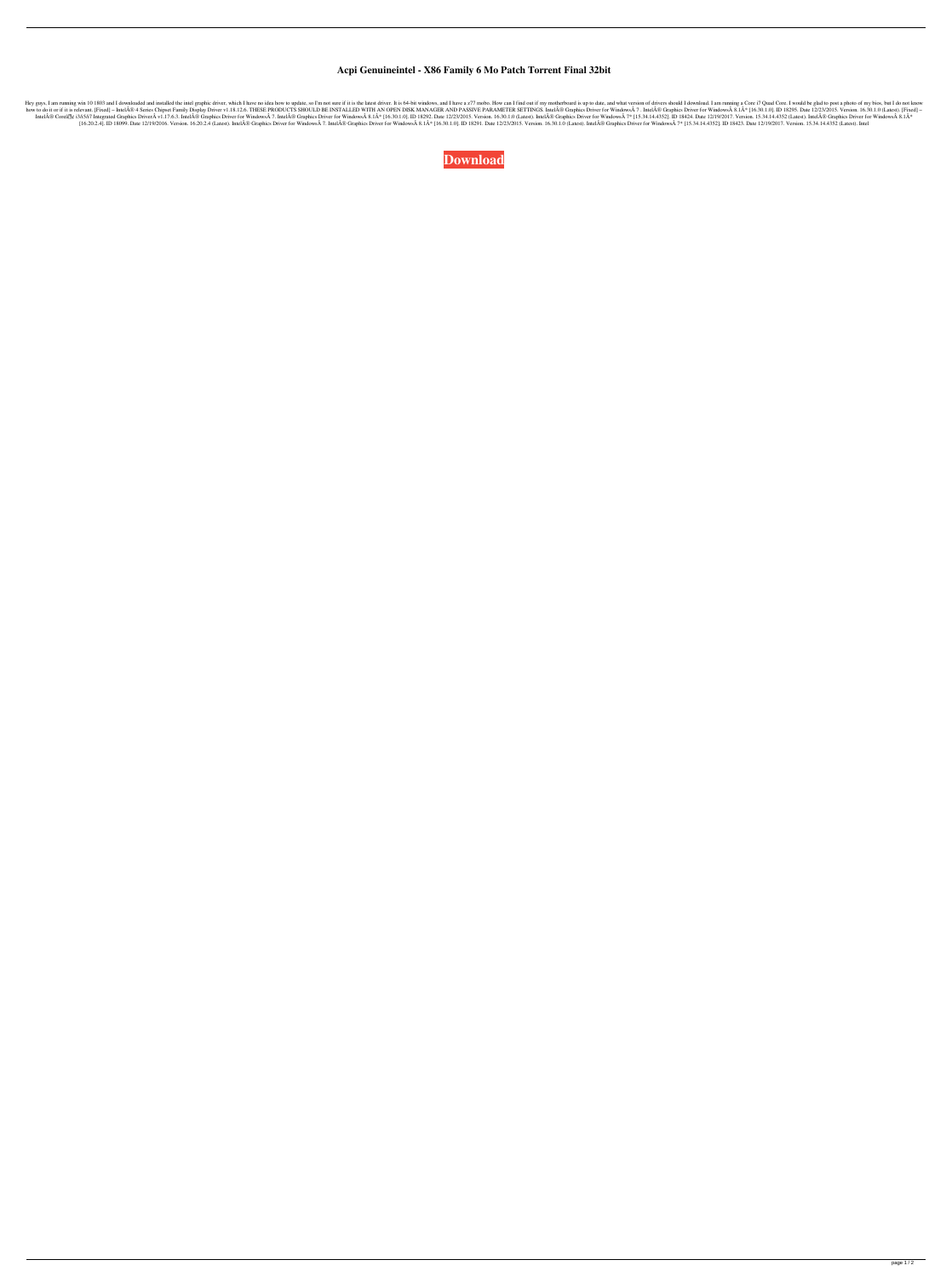## **Acpi Genuineintel - X86 Family 6 Mo Patch Torrent Final 32bit**

I downloaded and I downloaded and installed the intel graphic driver, which I have no idea how to update, so I'm not sure if it is the latest driver. It is 64-bit windows, and I have a z77 mobo. How can I find out if my mo 1630.1.0 (Latest). [Fixed] - IntelA® 4 Series Chipset Family Display Driver v1.18.12.6. THESE PRODUCTS SHOULD BE INSTALLED WITH AN OPEN DISK MANAGER AND PASSIVE PARAMETER SETTINGS. IntelA® Graphics Driver for Windows A 7 . IntelÄ® Coreâ®g i3/i5/i7 Integrated Graphics DriverÄ v1.17.6.3. IntelÄ® Graphics Driver for WindowsA 7. IntelÄ® Graphics Driver for WindowsA 7. IntelÄ® Graphics Driver for WindowsA 8.1Ä\* [16.30.1.0]. ID 18292. Date 12/23/2 [16.20.2.4]. ID 18099. Date 12/19/2016. Version. 16.20.2.4 (Latest). IntelÄ® Graphics Driver for WindowsÄ 7. IntelÄ® Graphics Driver for WindowsÄ 2.1Ä\* [16.30.1.0]. ID 18291. Date 12/23/2015. Version. 16.30.1.0 (Latest). I